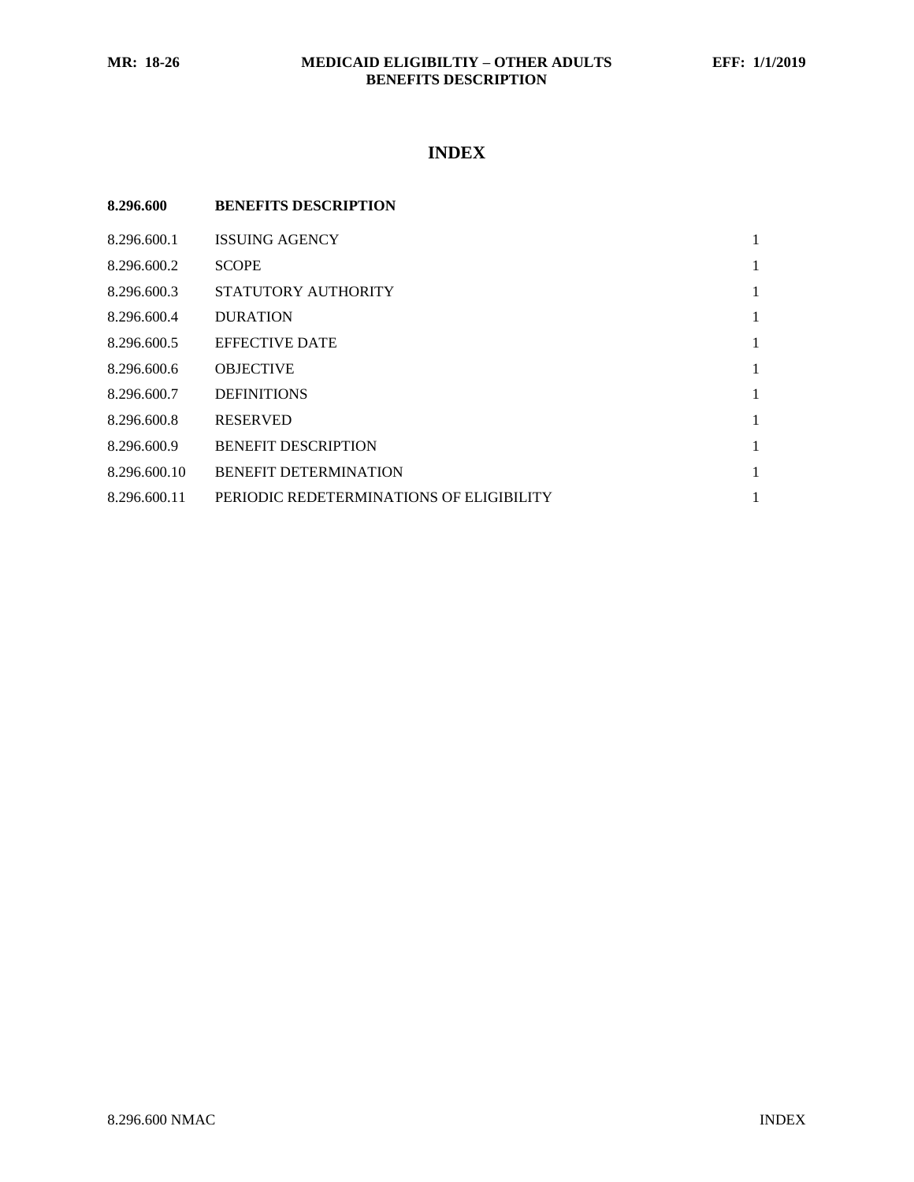# **INDEX**

| 8.296.600    | <b>BENEFITS DESCRIPTION</b>              |   |
|--------------|------------------------------------------|---|
| 8.296.600.1  | <b>ISSUING AGENCY</b>                    | 1 |
| 8.296.600.2  | <b>SCOPE</b>                             | 1 |
| 8.296.600.3  | STATUTORY AUTHORITY                      | 1 |
| 8.296.600.4  | <b>DURATION</b>                          | 1 |
| 8.296.600.5  | <b>EFFECTIVE DATE</b>                    | 1 |
| 8.296.600.6  | <b>OBJECTIVE</b>                         | 1 |
| 8.296.600.7  | <b>DEFINITIONS</b>                       | 1 |
| 8.296.600.8  | <b>RESERVED</b>                          | 1 |
| 8.296.600.9  | <b>BENEFIT DESCRIPTION</b>               | 1 |
| 8.296.600.10 | <b>BENEFIT DETERMINATION</b>             | 1 |
| 8.296.600.11 | PERIODIC REDETERMINATIONS OF ELIGIBILITY | 1 |